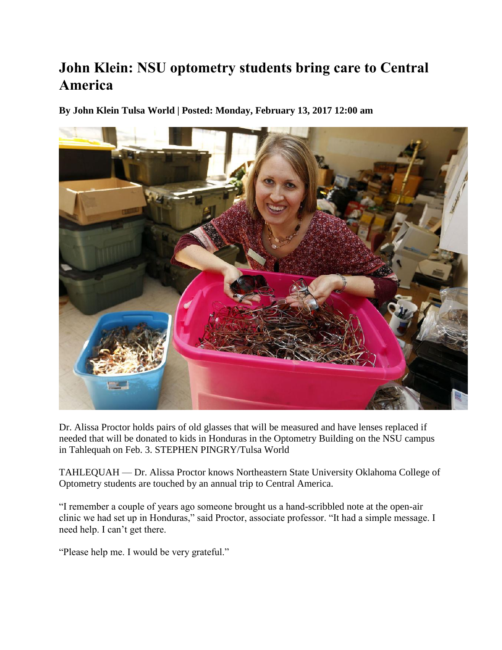## **John Klein: NSU optometry students bring care to Central America**

**By John Klein Tulsa World | Posted: Monday, February 13, 2017 12:00 am** 



Dr. Alissa Proctor holds pairs of old glasses that will be measured and have lenses replaced if needed that will be donated to kids in Honduras in the Optometry Building on the NSU campus in Tahlequah on Feb. 3. STEPHEN PINGRY/Tulsa World

TAHLEQUAH — Dr. Alissa Proctor knows Northeastern State University Oklahoma College of Optometry students are touched by an annual trip to Central America.

"I remember a couple of years ago someone brought us a hand-scribbled note at the open-air clinic we had set up in Honduras," said Proctor, associate professor. "It had a simple message. I need help. I can't get there.

"Please help me. I would be very grateful."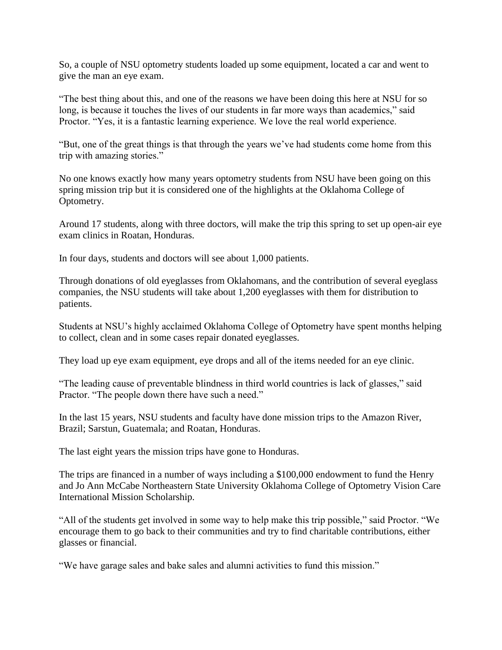So, a couple of NSU optometry students loaded up some equipment, located a car and went to give the man an eye exam.

"The best thing about this, and one of the reasons we have been doing this here at NSU for so long, is because it touches the lives of our students in far more ways than academics," said Proctor. "Yes, it is a fantastic learning experience. We love the real world experience.

"But, one of the great things is that through the years we've had students come home from this trip with amazing stories."

No one knows exactly how many years optometry students from NSU have been going on this spring mission trip but it is considered one of the highlights at the Oklahoma College of Optometry.

Around 17 students, along with three doctors, will make the trip this spring to set up open-air eye exam clinics in Roatan, Honduras.

In four days, students and doctors will see about 1,000 patients.

Through donations of old eyeglasses from Oklahomans, and the contribution of several eyeglass companies, the NSU students will take about 1,200 eyeglasses with them for distribution to patients.

Students at NSU's highly acclaimed Oklahoma College of Optometry have spent months helping to collect, clean and in some cases repair donated eyeglasses.

They load up eye exam equipment, eye drops and all of the items needed for an eye clinic.

"The leading cause of preventable blindness in third world countries is lack of glasses," said Practor. "The people down there have such a need."

In the last 15 years, NSU students and faculty have done mission trips to the Amazon River, Brazil; Sarstun, Guatemala; and Roatan, Honduras.

The last eight years the mission trips have gone to Honduras.

The trips are financed in a number of ways including a \$100,000 endowment to fund the Henry and Jo Ann McCabe Northeastern State University Oklahoma College of Optometry Vision Care International Mission Scholarship.

"All of the students get involved in some way to help make this trip possible," said Proctor. "We encourage them to go back to their communities and try to find charitable contributions, either glasses or financial.

"We have garage sales and bake sales and alumni activities to fund this mission."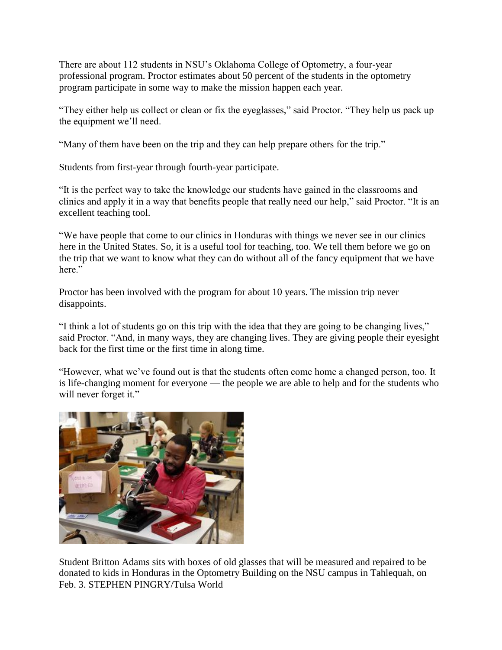There are about 112 students in NSU's Oklahoma College of Optometry, a four-year professional program. Proctor estimates about 50 percent of the students in the optometry program participate in some way to make the mission happen each year.

"They either help us collect or clean or fix the eyeglasses," said Proctor. "They help us pack up the equipment we'll need.

"Many of them have been on the trip and they can help prepare others for the trip."

Students from first-year through fourth-year participate.

"It is the perfect way to take the knowledge our students have gained in the classrooms and clinics and apply it in a way that benefits people that really need our help," said Proctor. "It is an excellent teaching tool.

"We have people that come to our clinics in Honduras with things we never see in our clinics here in the United States. So, it is a useful tool for teaching, too. We tell them before we go on the trip that we want to know what they can do without all of the fancy equipment that we have here."

Proctor has been involved with the program for about 10 years. The mission trip never disappoints.

"I think a lot of students go on this trip with the idea that they are going to be changing lives," said Proctor. "And, in many ways, they are changing lives. They are giving people their eyesight back for the first time or the first time in along time.

"However, what we've found out is that the students often come home a changed person, too. It is life-changing moment for everyone — the people we are able to help and for the students who will never forget it."



Student Britton Adams sits with boxes of old glasses that will be measured and repaired to be donated to kids in Honduras in the Optometry Building on the NSU campus in Tahlequah, on Feb. 3. STEPHEN PINGRY/Tulsa World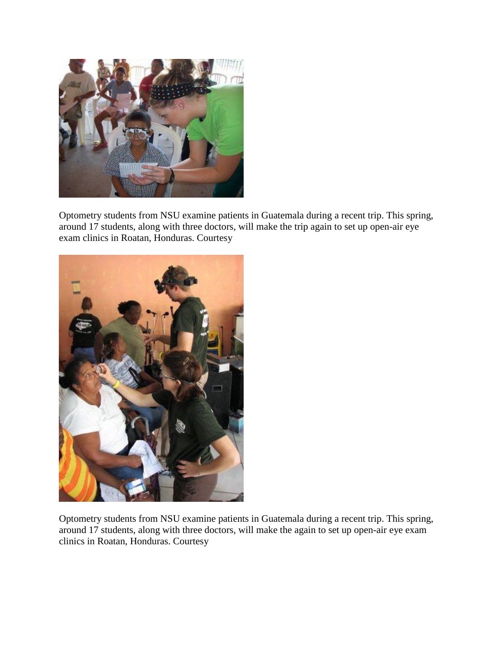

Optometry students from NSU examine patients in Guatemala during a recent trip. This spring, around 17 students, along with three doctors, will make the trip again to set up open-air eye exam clinics in Roatan, Honduras. Courtesy



Optometry students from NSU examine patients in Guatemala during a recent trip. This spring, around 17 students, along with three doctors, will make the again to set up open-air eye exam clinics in Roatan, Honduras. Courtesy